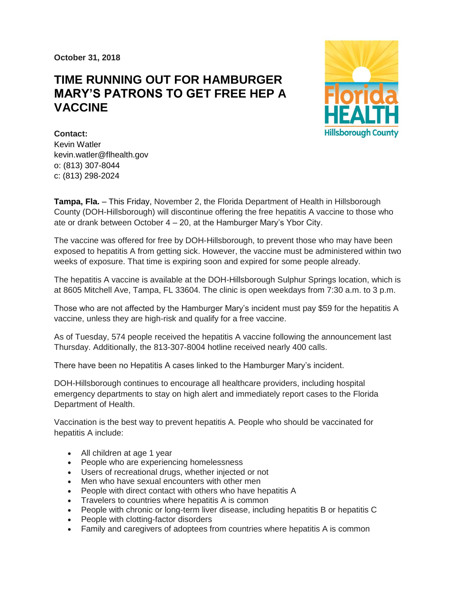**October 31, 2018**

## **TIME RUNNING OUT FOR HAMBURGER MARY'S PATRONS TO GET FREE HEP A VACCINE**



**Contact:**  Kevin Watler kevin.watler@flhealth.gov o: (813) 307-8044 c: (813) 298-2024

**Tampa, Fla.** – This Friday, November 2, the Florida Department of Health in Hillsborough County (DOH-Hillsborough) will discontinue offering the free hepatitis A vaccine to those who ate or drank between October 4 – 20, at the Hamburger Mary's Ybor City.

The vaccine was offered for free by DOH-Hillsborough, to prevent those who may have been exposed to hepatitis A from getting sick. However, the vaccine must be administered within two weeks of exposure. That time is expiring soon and expired for some people already.

The hepatitis A vaccine is available at the DOH-Hillsborough Sulphur Springs location, which is at 8605 Mitchell Ave, Tampa, FL 33604. The clinic is open weekdays from 7:30 a.m. to 3 p.m.

Those who are not affected by the Hamburger Mary's incident must pay \$59 for the hepatitis A vaccine, unless they are high-risk and qualify for a free vaccine.

As of Tuesday, 574 people received the hepatitis A vaccine following the announcement last Thursday. Additionally, the 813-307-8004 hotline received nearly 400 calls.

There have been no Hepatitis A cases linked to the Hamburger Mary's incident.

DOH-Hillsborough continues to encourage all healthcare providers, including hospital emergency departments to stay on high alert and immediately report cases to the Florida Department of Health.

Vaccination is the best way to prevent hepatitis A. People who should be vaccinated for hepatitis A include:

- All children at age 1 year
- People who are experiencing homelessness
- Users of recreational drugs, whether injected or not
- Men who have sexual encounters with other men
- People with direct contact with others who have hepatitis A
- Travelers to countries where hepatitis A is common
- People with chronic or long-term liver disease, including hepatitis B or hepatitis C
- People with clotting-factor disorders
- Family and caregivers of adoptees from countries where hepatitis A is common